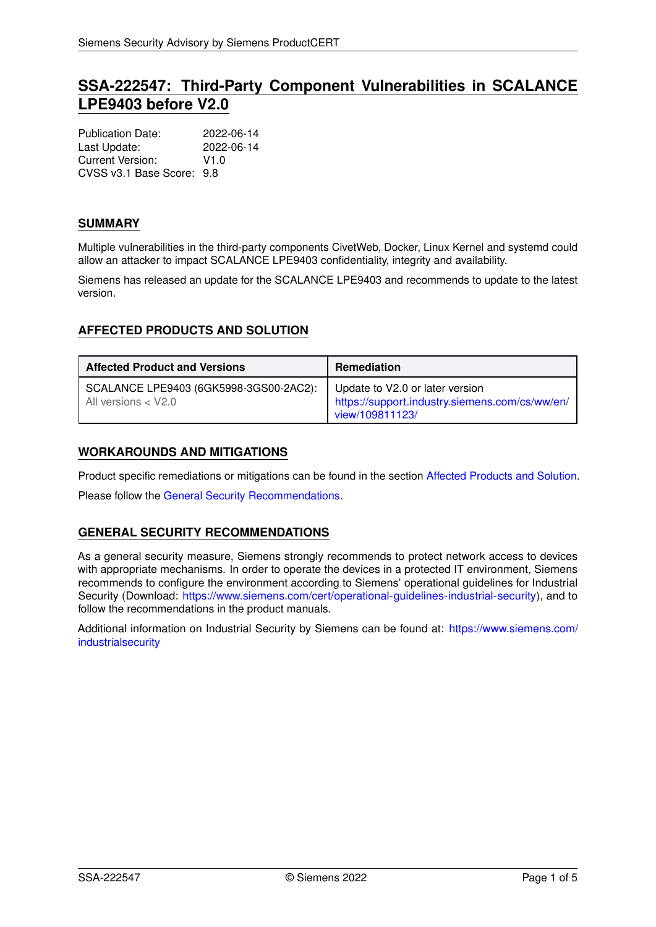# **SSA-222547: Third-Party Component Vulnerabilities in SCALANCE LPE9403 before V2.0**

| <b>Publication Date:</b>  | 2022-06-14 |
|---------------------------|------------|
| Last Update:              | 2022-06-14 |
| Current Version:          | V1.0       |
| CVSS v3.1 Base Score: 9.8 |            |

# **SUMMARY**

Multiple vulnerabilities in the third-party components CivetWeb, Docker, Linux Kernel and systemd could allow an attacker to impact SCALANCE LPE9403 confidentiality, integrity and availability.

<span id="page-0-0"></span>Siemens has released an update for the SCALANCE LPE9403 and recommends to update to the latest version.

# **AFFECTED PRODUCTS AND SOLUTION**

| <b>Affected Product and Versions</b>                            | <b>Remediation</b>                                                                                   |
|-----------------------------------------------------------------|------------------------------------------------------------------------------------------------------|
| SCALANCE LPE9403 (6GK5998-3GS00-2AC2):<br>All versions $<$ V2.0 | Update to V2.0 or later version<br>https://support.industry.siemens.com/cs/ww/en/<br>view/109811123/ |

## **WORKAROUNDS AND MITIGATIONS**

Product specific remediations or mitigations can be found in the section [Affected Products and Solution.](#page-0-0)

<span id="page-0-1"></span>Please follow the [General Security Recommendations.](#page-0-1)

## **GENERAL SECURITY RECOMMENDATIONS**

As a general security measure, Siemens strongly recommends to protect network access to devices with appropriate mechanisms. In order to operate the devices in a protected IT environment, Siemens recommends to configure the environment according to Siemens' operational guidelines for Industrial Security (Download: [https://www.siemens.com/cert/operational-guidelines-industrial-security\)](https://www.siemens.com/cert/operational-guidelines-industrial-security), and to follow the recommendations in the product manuals.

Additional information on Industrial Security by Siemens can be found at: [https://www.siemens.com/](https://www.siemens.com/industrialsecurity) [industrialsecurity](https://www.siemens.com/industrialsecurity)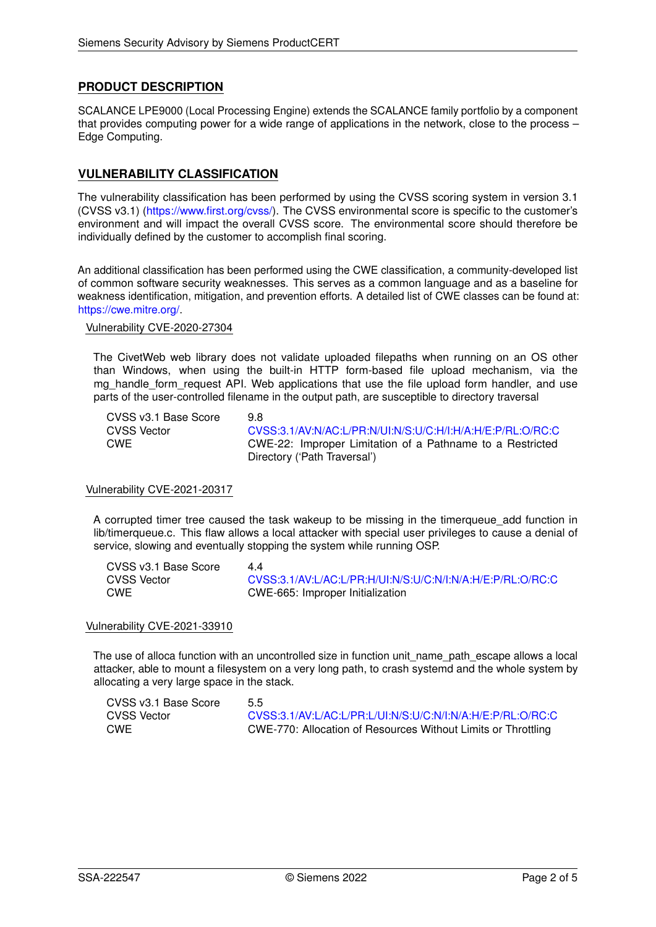# **PRODUCT DESCRIPTION**

SCALANCE LPE9000 (Local Processing Engine) extends the SCALANCE family portfolio by a component that provides computing power for a wide range of applications in the network, close to the process – Edge Computing.

# **VULNERABILITY CLASSIFICATION**

The vulnerability classification has been performed by using the CVSS scoring system in version 3.1 (CVSS v3.1) [\(https://www.first.org/cvss/\)](https://www.first.org/cvss/). The CVSS environmental score is specific to the customer's environment and will impact the overall CVSS score. The environmental score should therefore be individually defined by the customer to accomplish final scoring.

An additional classification has been performed using the CWE classification, a community-developed list of common software security weaknesses. This serves as a common language and as a baseline for weakness identification, mitigation, and prevention efforts. A detailed list of CWE classes can be found at: [https://cwe.mitre.org/.](https://cwe.mitre.org/)

#### Vulnerability CVE-2020-27304

The CivetWeb web library does not validate uploaded filepaths when running on an OS other than Windows, when using the built-in HTTP form-based file upload mechanism, via the mg\_handle\_form\_request API. Web applications that use the file upload form handler, and use parts of the user-controlled filename in the output path, are susceptible to directory traversal

| CVSS v3.1 Base Score | 98                                                         |
|----------------------|------------------------------------------------------------|
| CVSS Vector          | CVSS:3.1/AV:N/AC:L/PR:N/UI:N/S:U/C:H/I:H/A:H/E:P/RL:O/RC:C |
| CWE                  | CWE-22: Improper Limitation of a Pathname to a Restricted  |
|                      | Directory ('Path Traversal')                               |

#### Vulnerability CVE-2021-20317

A corrupted timer tree caused the task wakeup to be missing in the timerqueue\_add function in lib/timerqueue.c. This flaw allows a local attacker with special user privileges to cause a denial of service, slowing and eventually stopping the system while running OSP.

| CVSS v3.1 Base Score | 44                                                         |
|----------------------|------------------------------------------------------------|
| <b>CVSS Vector</b>   | CVSS:3.1/AV:L/AC:L/PR:H/UI:N/S:U/C:N/I:N/A:H/E:P/RL:O/RC:C |
| <b>CWE</b>           | CWE-665: Improper Initialization                           |

#### Vulnerability CVE-2021-33910

The use of alloca function with an uncontrolled size in function unit\_name\_path\_escape allows a local attacker, able to mount a filesystem on a very long path, to crash systemd and the whole system by allocating a very large space in the stack.

| CVSS v3.1 Base Score | 5.5                                                           |
|----------------------|---------------------------------------------------------------|
| <b>CVSS Vector</b>   | CVSS:3.1/AV:L/AC:L/PR:L/UI:N/S:U/C:N/I:N/A:H/E:P/RL:O/RC:C    |
| <b>CWE</b>           | CWE-770: Allocation of Resources Without Limits or Throttling |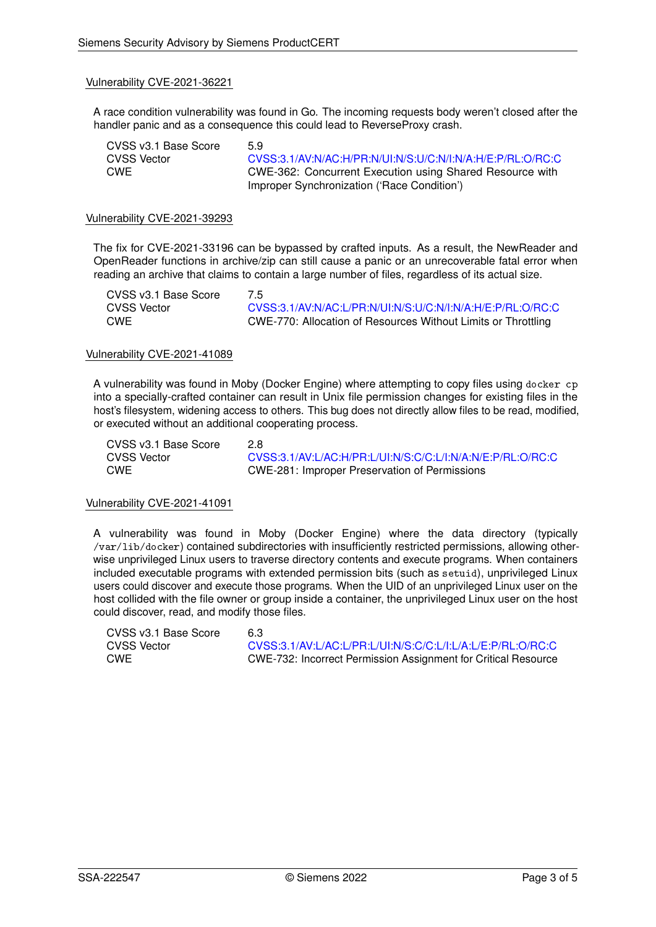#### Vulnerability CVE-2021-36221

A race condition vulnerability was found in Go. The incoming requests body weren't closed after the handler panic and as a consequence this could lead to ReverseProxy crash.

| CVSS v3.1 Base Score | 59                                                                                                      |
|----------------------|---------------------------------------------------------------------------------------------------------|
| CVSS Vector          | CVSS:3.1/AV:N/AC:H/PR:N/UI:N/S:U/C:N/I:N/A:H/E:P/RL:O/RC:C                                              |
| CWE                  | CWE-362: Concurrent Execution using Shared Resource with<br>Improper Synchronization ('Race Condition') |

#### Vulnerability CVE-2021-39293

The fix for CVE-2021-33196 can be bypassed by crafted inputs. As a result, the NewReader and OpenReader functions in archive/zip can still cause a panic or an unrecoverable fatal error when reading an archive that claims to contain a large number of files, regardless of its actual size.

| CVSS v3.1 Base Score | 7.5                                                           |
|----------------------|---------------------------------------------------------------|
| CVSS Vector          | CVSS:3.1/AV:N/AC:L/PR:N/UI:N/S:U/C:N/I:N/A:H/E:P/RL:O/RC:C    |
| <b>CWE</b>           | CWE-770: Allocation of Resources Without Limits or Throttling |

#### Vulnerability CVE-2021-41089

A vulnerability was found in Moby (Docker Engine) where attempting to copy files using docker cp into a specially-crafted container can result in Unix file permission changes for existing files in the host's filesystem, widening access to others. This bug does not directly allow files to be read, modified, or executed without an additional cooperating process.

CVSS v3.1 Base Score 2.8

CVSS Vector [CVSS:3.1/AV:L/AC:H/PR:L/UI:N/S:C/C:L/I:N/A:N/E:P/RL:O/RC:C](https://www.first.org/cvss/calculator/3.1#CVSS:3.1/AV:L/AC:H/PR:L/UI:N/S:C/C:L/I:N/A:N/E:P/RL:O/RC:C) CWE CWE-281: Improper Preservation of Permissions

#### Vulnerability CVE-2021-41091

A vulnerability was found in Moby (Docker Engine) where the data directory (typically /var/lib/docker) contained subdirectories with insufficiently restricted permissions, allowing otherwise unprivileged Linux users to traverse directory contents and execute programs. When containers included executable programs with extended permission bits (such as setuid), unprivileged Linux users could discover and execute those programs. When the UID of an unprivileged Linux user on the host collided with the file owner or group inside a container, the unprivileged Linux user on the host could discover, read, and modify those files.

| CVSS v3.1 Base Score | 6.3                                                                   |
|----------------------|-----------------------------------------------------------------------|
| CVSS Vector          | CVSS:3.1/AV:L/AC:L/PR:L/UI:N/S:C/C:L/I:L/A:L/E:P/RL:O/RC:C            |
| CWE                  | <b>CWE-732: Incorrect Permission Assignment for Critical Resource</b> |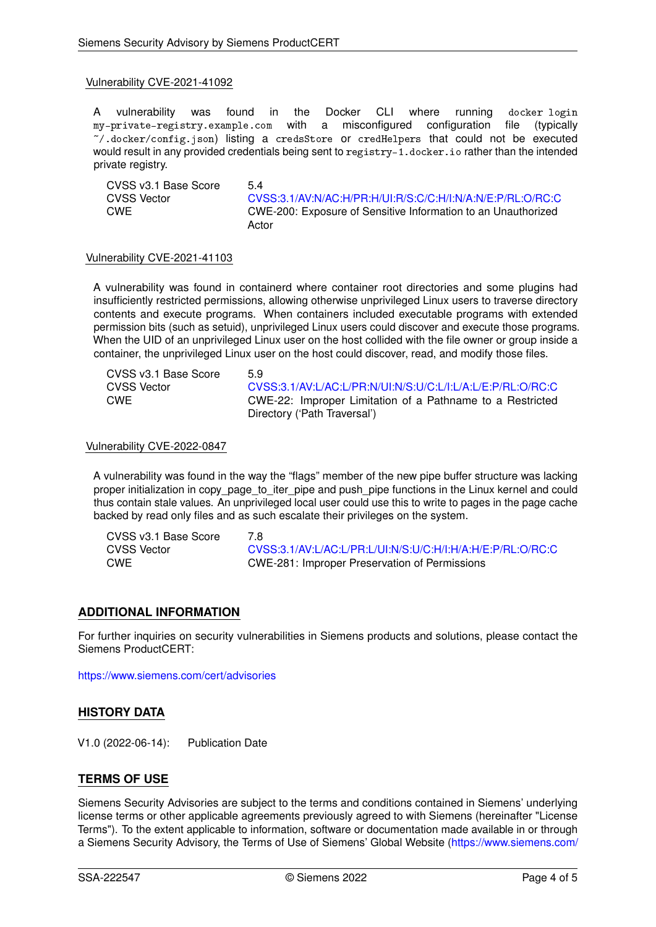#### Vulnerability CVE-2021-41092

A vulnerability was found in the Docker CLI where running docker login my-private-registry.example.com with a misconfigured configuration file (typically ~/.docker/config.json) listing a credsStore or credHelpers that could not be executed would result in any provided credentials being sent to registry-1.docker.io rather than the intended private registry.

CVSS v3.1 Base Score 5.4<br>CVSS Vector 6.00 CVSS Vector [CVSS:3.1/AV:N/AC:H/PR:H/UI:R/S:C/C:H/I:N/A:N/E:P/RL:O/RC:C](https://www.first.org/cvss/calculator/3.1#CVSS:3.1/AV:N/AC:H/PR:H/UI:R/S:C/C:H/I:N/A:N/E:P/RL:O/RC:C)<br>CWE CWE-200: Exposure of Sensitive Information to an Unauthorized CWE CWE-200: Exposure of Sensitive Information to an Unauthorized Actor

#### Vulnerability CVE-2021-41103

A vulnerability was found in containerd where container root directories and some plugins had insufficiently restricted permissions, allowing otherwise unprivileged Linux users to traverse directory contents and execute programs. When containers included executable programs with extended permission bits (such as setuid), unprivileged Linux users could discover and execute those programs. When the UID of an unprivileged Linux user on the host collided with the file owner or group inside a container, the unprivileged Linux user on the host could discover, read, and modify those files.

| CVSS v3.1 Base Score | 59                                                         |
|----------------------|------------------------------------------------------------|
| CVSS Vector          | CVSS:3.1/AV:L/AC:L/PR:N/UI:N/S:U/C:L/I:L/A:L/E:P/RL:O/RC:C |
| CWE                  | CWE-22: Improper Limitation of a Pathname to a Restricted  |
|                      | Directory ('Path Traversal')                               |

### Vulnerability CVE-2022-0847

A vulnerability was found in the way the "flags" member of the new pipe buffer structure was lacking proper initialization in copy\_page\_to\_iter\_pipe and push\_pipe functions in the Linux kernel and could thus contain stale values. An unprivileged local user could use this to write to pages in the page cache backed by read only files and as such escalate their privileges on the system.

| CVSS v3.1 Base Score | 7 R                                                        |
|----------------------|------------------------------------------------------------|
| CVSS Vector          | CVSS:3.1/AV:L/AC:L/PR:L/UI:N/S:U/C:H/I:H/A:H/E:P/RL:O/RC:C |
| <b>CWE</b>           | CWE-281: Improper Preservation of Permissions              |

# **ADDITIONAL INFORMATION**

For further inquiries on security vulnerabilities in Siemens products and solutions, please contact the Siemens ProductCERT:

<https://www.siemens.com/cert/advisories>

## **HISTORY DATA**

V1.0 (2022-06-14): Publication Date

## **TERMS OF USE**

Siemens Security Advisories are subject to the terms and conditions contained in Siemens' underlying license terms or other applicable agreements previously agreed to with Siemens (hereinafter "License Terms"). To the extent applicable to information, software or documentation made available in or through a Siemens Security Advisory, the Terms of Use of Siemens' Global Website [\(https://www.siemens.com/](https://www.siemens.com/terms_of_use)